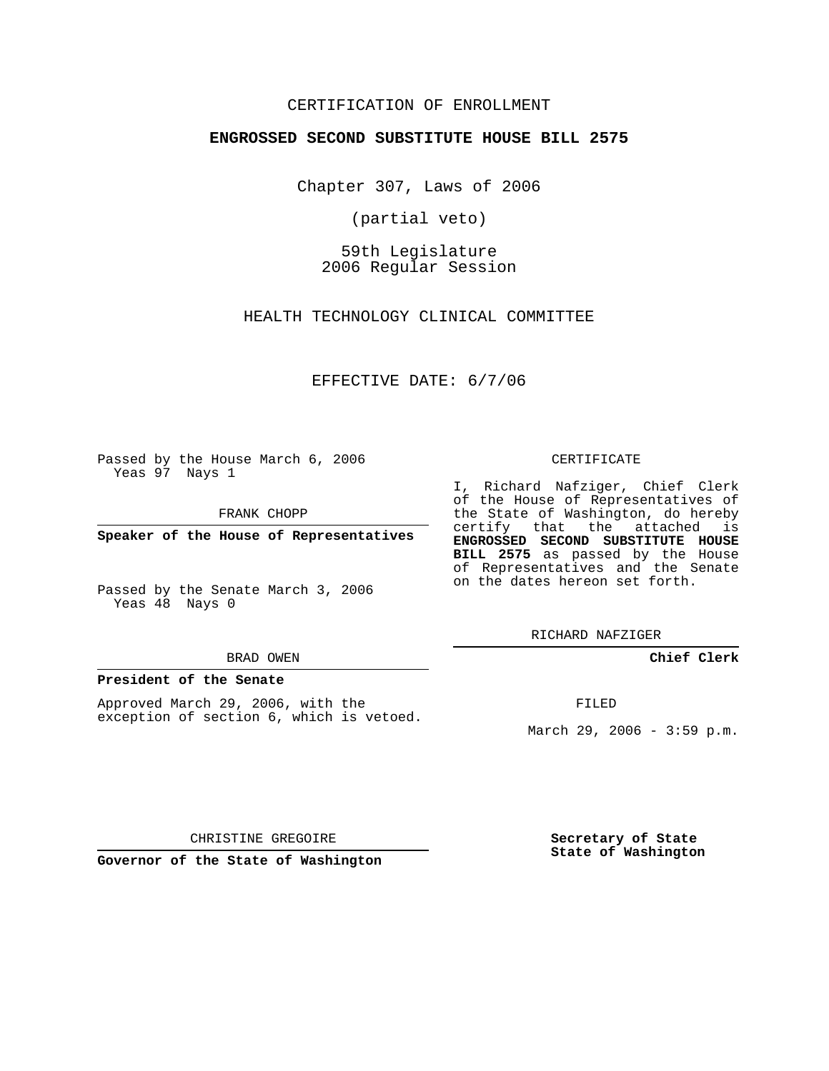## CERTIFICATION OF ENROLLMENT

### **ENGROSSED SECOND SUBSTITUTE HOUSE BILL 2575**

Chapter 307, Laws of 2006

(partial veto)

59th Legislature 2006 Regular Session

HEALTH TECHNOLOGY CLINICAL COMMITTEE

EFFECTIVE DATE: 6/7/06

Passed by the House March 6, 2006 Yeas 97 Nays 1

FRANK CHOPP

**Speaker of the House of Representatives**

Passed by the Senate March 3, 2006 Yeas 48 Nays 0

#### BRAD OWEN

### **President of the Senate**

Approved March 29, 2006, with the exception of section 6, which is vetoed.

#### CERTIFICATE

I, Richard Nafziger, Chief Clerk of the House of Representatives of the State of Washington, do hereby certify that the attached is **ENGROSSED SECOND SUBSTITUTE HOUSE BILL 2575** as passed by the House of Representatives and the Senate on the dates hereon set forth.

RICHARD NAFZIGER

**Chief Clerk**

FILED

March 29, 2006 - 3:59 p.m.

CHRISTINE GREGOIRE

**Governor of the State of Washington**

**Secretary of State State of Washington**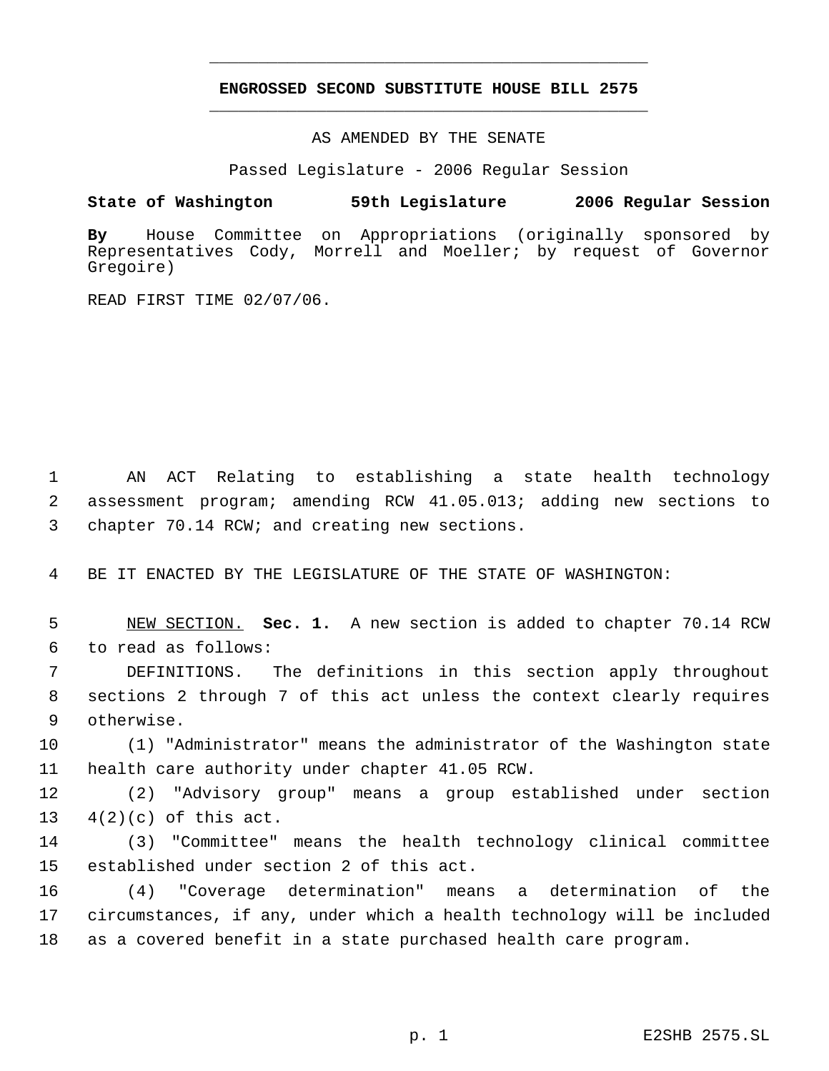# **ENGROSSED SECOND SUBSTITUTE HOUSE BILL 2575** \_\_\_\_\_\_\_\_\_\_\_\_\_\_\_\_\_\_\_\_\_\_\_\_\_\_\_\_\_\_\_\_\_\_\_\_\_\_\_\_\_\_\_\_\_

\_\_\_\_\_\_\_\_\_\_\_\_\_\_\_\_\_\_\_\_\_\_\_\_\_\_\_\_\_\_\_\_\_\_\_\_\_\_\_\_\_\_\_\_\_

AS AMENDED BY THE SENATE

Passed Legislature - 2006 Regular Session

## **State of Washington 59th Legislature 2006 Regular Session**

**By** House Committee on Appropriations (originally sponsored by Representatives Cody, Morrell and Moeller; by request of Governor Gregoire)

READ FIRST TIME 02/07/06.

 AN ACT Relating to establishing a state health technology assessment program; amending RCW 41.05.013; adding new sections to chapter 70.14 RCW; and creating new sections.

BE IT ENACTED BY THE LEGISLATURE OF THE STATE OF WASHINGTON:

 NEW SECTION. **Sec. 1.** A new section is added to chapter 70.14 RCW to read as follows:

 DEFINITIONS. The definitions in this section apply throughout sections 2 through 7 of this act unless the context clearly requires otherwise.

 (1) "Administrator" means the administrator of the Washington state health care authority under chapter 41.05 RCW.

 (2) "Advisory group" means a group established under section 4(2)(c) of this act.

 (3) "Committee" means the health technology clinical committee established under section 2 of this act.

 (4) "Coverage determination" means a determination of the circumstances, if any, under which a health technology will be included as a covered benefit in a state purchased health care program.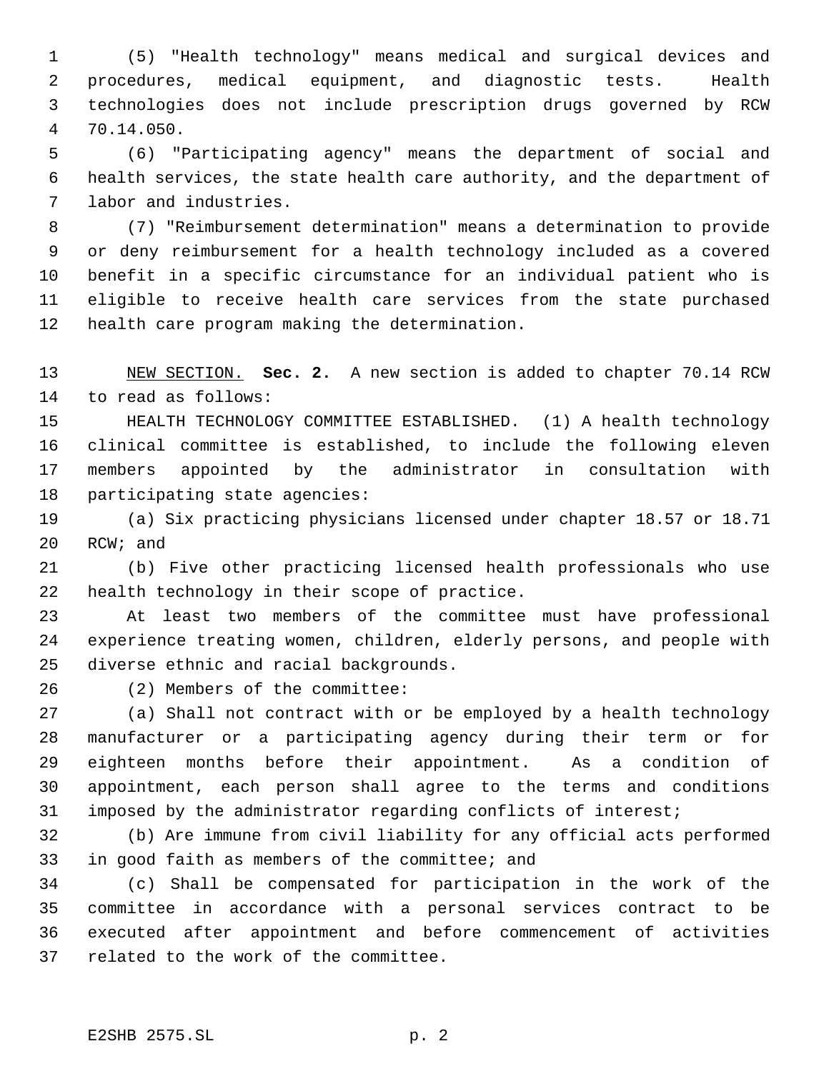(5) "Health technology" means medical and surgical devices and procedures, medical equipment, and diagnostic tests. Health technologies does not include prescription drugs governed by RCW 70.14.050.

 (6) "Participating agency" means the department of social and health services, the state health care authority, and the department of labor and industries.

 (7) "Reimbursement determination" means a determination to provide or deny reimbursement for a health technology included as a covered benefit in a specific circumstance for an individual patient who is eligible to receive health care services from the state purchased health care program making the determination.

 NEW SECTION. **Sec. 2.** A new section is added to chapter 70.14 RCW to read as follows:

 HEALTH TECHNOLOGY COMMITTEE ESTABLISHED. (1) A health technology clinical committee is established, to include the following eleven members appointed by the administrator in consultation with participating state agencies:

 (a) Six practicing physicians licensed under chapter 18.57 or 18.71 RCW; and

 (b) Five other practicing licensed health professionals who use health technology in their scope of practice.

 At least two members of the committee must have professional experience treating women, children, elderly persons, and people with diverse ethnic and racial backgrounds.

(2) Members of the committee:

 (a) Shall not contract with or be employed by a health technology manufacturer or a participating agency during their term or for eighteen months before their appointment. As a condition of appointment, each person shall agree to the terms and conditions imposed by the administrator regarding conflicts of interest;

 (b) Are immune from civil liability for any official acts performed in good faith as members of the committee; and

 (c) Shall be compensated for participation in the work of the committee in accordance with a personal services contract to be executed after appointment and before commencement of activities related to the work of the committee.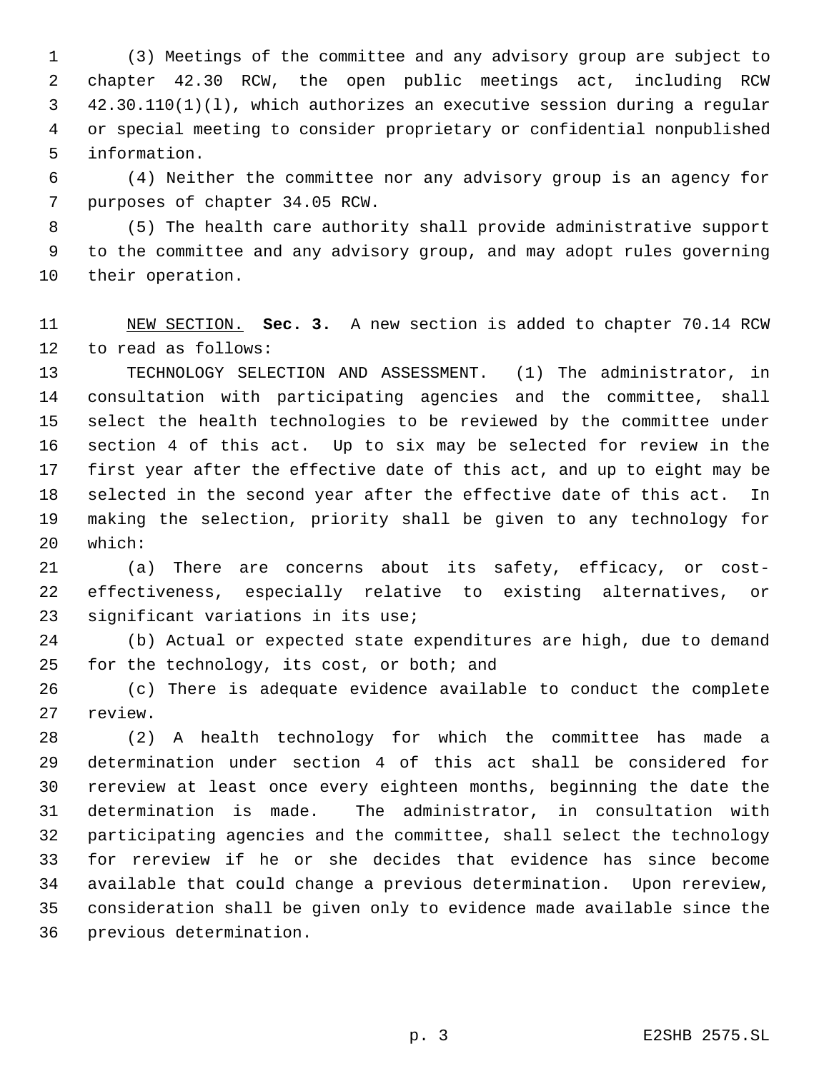(3) Meetings of the committee and any advisory group are subject to chapter 42.30 RCW, the open public meetings act, including RCW 42.30.110(1)(l), which authorizes an executive session during a regular or special meeting to consider proprietary or confidential nonpublished information.

 (4) Neither the committee nor any advisory group is an agency for purposes of chapter 34.05 RCW.

 (5) The health care authority shall provide administrative support to the committee and any advisory group, and may adopt rules governing their operation.

 NEW SECTION. **Sec. 3.** A new section is added to chapter 70.14 RCW to read as follows:

 TECHNOLOGY SELECTION AND ASSESSMENT. (1) The administrator, in consultation with participating agencies and the committee, shall select the health technologies to be reviewed by the committee under section 4 of this act. Up to six may be selected for review in the first year after the effective date of this act, and up to eight may be selected in the second year after the effective date of this act. In making the selection, priority shall be given to any technology for which:

 (a) There are concerns about its safety, efficacy, or cost- effectiveness, especially relative to existing alternatives, or significant variations in its use;

 (b) Actual or expected state expenditures are high, due to demand for the technology, its cost, or both; and

 (c) There is adequate evidence available to conduct the complete review.

 (2) A health technology for which the committee has made a determination under section 4 of this act shall be considered for rereview at least once every eighteen months, beginning the date the determination is made. The administrator, in consultation with participating agencies and the committee, shall select the technology for rereview if he or she decides that evidence has since become available that could change a previous determination. Upon rereview, consideration shall be given only to evidence made available since the previous determination.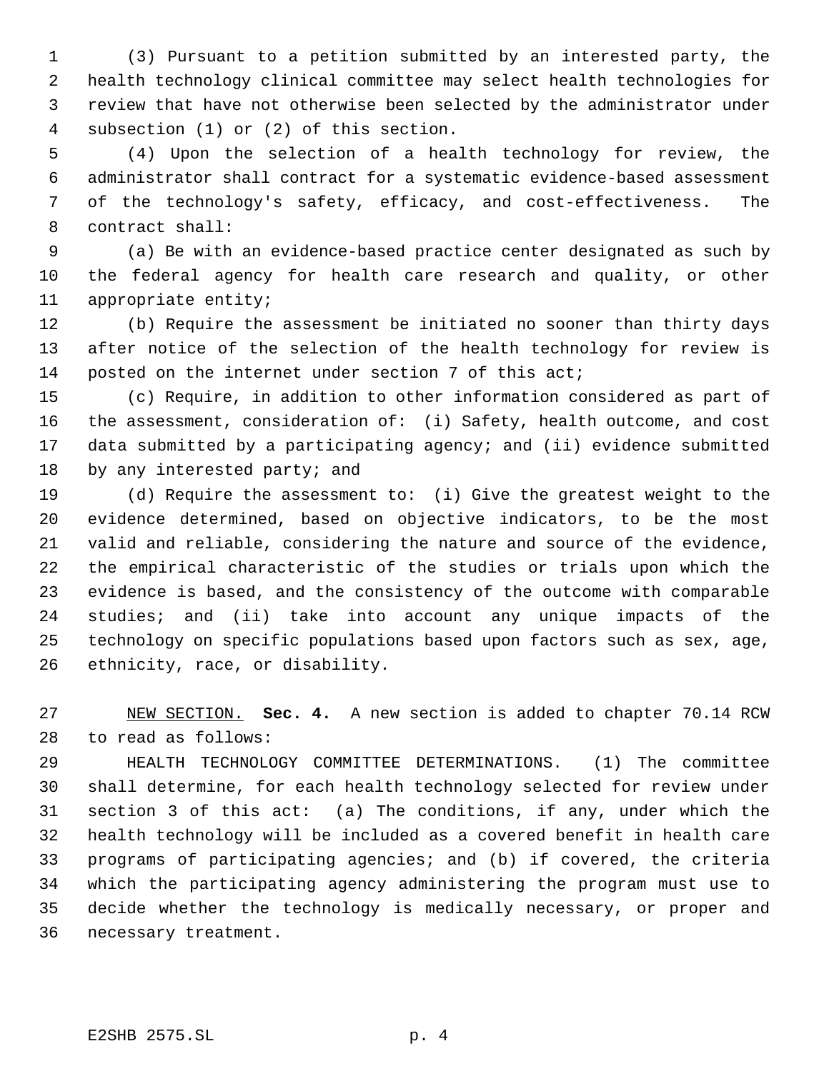(3) Pursuant to a petition submitted by an interested party, the health technology clinical committee may select health technologies for review that have not otherwise been selected by the administrator under subsection (1) or (2) of this section.

 (4) Upon the selection of a health technology for review, the administrator shall contract for a systematic evidence-based assessment of the technology's safety, efficacy, and cost-effectiveness. The contract shall:

 (a) Be with an evidence-based practice center designated as such by the federal agency for health care research and quality, or other appropriate entity;

 (b) Require the assessment be initiated no sooner than thirty days after notice of the selection of the health technology for review is posted on the internet under section 7 of this act;

 (c) Require, in addition to other information considered as part of the assessment, consideration of: (i) Safety, health outcome, and cost data submitted by a participating agency; and (ii) evidence submitted 18 by any interested party; and

 (d) Require the assessment to: (i) Give the greatest weight to the evidence determined, based on objective indicators, to be the most valid and reliable, considering the nature and source of the evidence, the empirical characteristic of the studies or trials upon which the evidence is based, and the consistency of the outcome with comparable studies; and (ii) take into account any unique impacts of the technology on specific populations based upon factors such as sex, age, ethnicity, race, or disability.

 NEW SECTION. **Sec. 4.** A new section is added to chapter 70.14 RCW to read as follows:

 HEALTH TECHNOLOGY COMMITTEE DETERMINATIONS. (1) The committee shall determine, for each health technology selected for review under section 3 of this act: (a) The conditions, if any, under which the health technology will be included as a covered benefit in health care programs of participating agencies; and (b) if covered, the criteria which the participating agency administering the program must use to decide whether the technology is medically necessary, or proper and necessary treatment.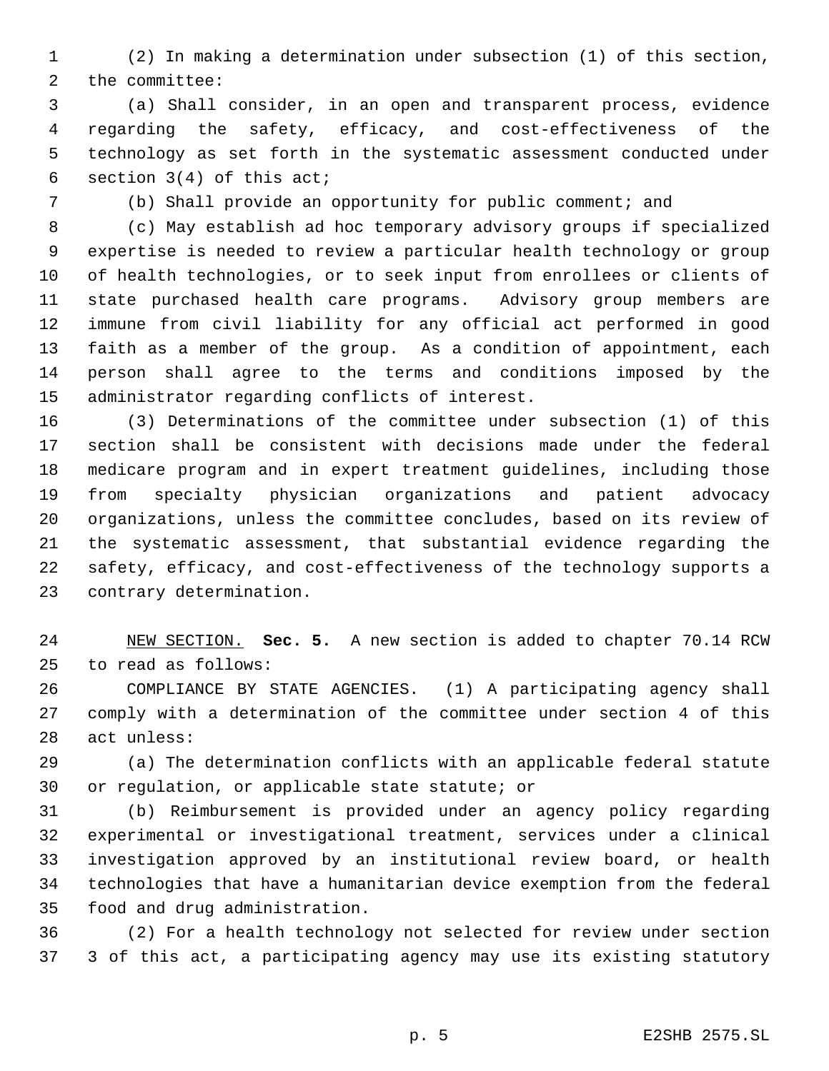(2) In making a determination under subsection (1) of this section, the committee:

 (a) Shall consider, in an open and transparent process, evidence regarding the safety, efficacy, and cost-effectiveness of the technology as set forth in the systematic assessment conducted under section 3(4) of this act;

(b) Shall provide an opportunity for public comment; and

 (c) May establish ad hoc temporary advisory groups if specialized expertise is needed to review a particular health technology or group of health technologies, or to seek input from enrollees or clients of state purchased health care programs. Advisory group members are immune from civil liability for any official act performed in good faith as a member of the group. As a condition of appointment, each person shall agree to the terms and conditions imposed by the administrator regarding conflicts of interest.

 (3) Determinations of the committee under subsection (1) of this section shall be consistent with decisions made under the federal medicare program and in expert treatment guidelines, including those from specialty physician organizations and patient advocacy organizations, unless the committee concludes, based on its review of the systematic assessment, that substantial evidence regarding the safety, efficacy, and cost-effectiveness of the technology supports a contrary determination.

 NEW SECTION. **Sec. 5.** A new section is added to chapter 70.14 RCW to read as follows:

 COMPLIANCE BY STATE AGENCIES. (1) A participating agency shall comply with a determination of the committee under section 4 of this act unless:

 (a) The determination conflicts with an applicable federal statute 30 or regulation, or applicable state statute; or

 (b) Reimbursement is provided under an agency policy regarding experimental or investigational treatment, services under a clinical investigation approved by an institutional review board, or health technologies that have a humanitarian device exemption from the federal food and drug administration.

 (2) For a health technology not selected for review under section 3 of this act, a participating agency may use its existing statutory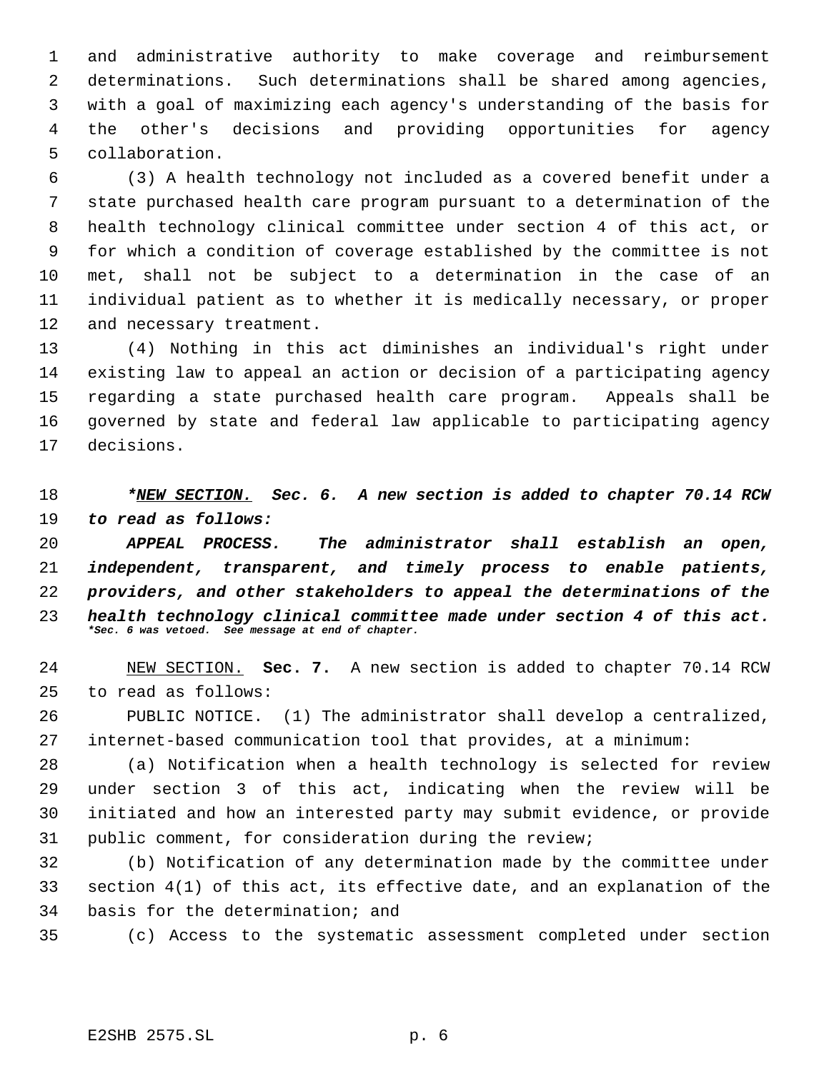and administrative authority to make coverage and reimbursement determinations. Such determinations shall be shared among agencies, with a goal of maximizing each agency's understanding of the basis for the other's decisions and providing opportunities for agency collaboration.

 (3) A health technology not included as a covered benefit under a state purchased health care program pursuant to a determination of the health technology clinical committee under section 4 of this act, or for which a condition of coverage established by the committee is not met, shall not be subject to a determination in the case of an individual patient as to whether it is medically necessary, or proper and necessary treatment.

 (4) Nothing in this act diminishes an individual's right under existing law to appeal an action or decision of a participating agency regarding a state purchased health care program. Appeals shall be governed by state and federal law applicable to participating agency decisions.

 *\*NEW SECTION. Sec. 6. A new section is added to chapter 70.14 RCW to read as follows:*

 *APPEAL PROCESS. The administrator shall establish an open, independent, transparent, and timely process to enable patients, providers, and other stakeholders to appeal the determinations of the health technology clinical committee made under section 4 of this act. \*Sec. 6 was vetoed. See message at end of chapter.*

 NEW SECTION. **Sec. 7.** A new section is added to chapter 70.14 RCW to read as follows:

 PUBLIC NOTICE. (1) The administrator shall develop a centralized, internet-based communication tool that provides, at a minimum:

 (a) Notification when a health technology is selected for review under section 3 of this act, indicating when the review will be initiated and how an interested party may submit evidence, or provide public comment, for consideration during the review;

 (b) Notification of any determination made by the committee under section 4(1) of this act, its effective date, and an explanation of the basis for the determination; and

(c) Access to the systematic assessment completed under section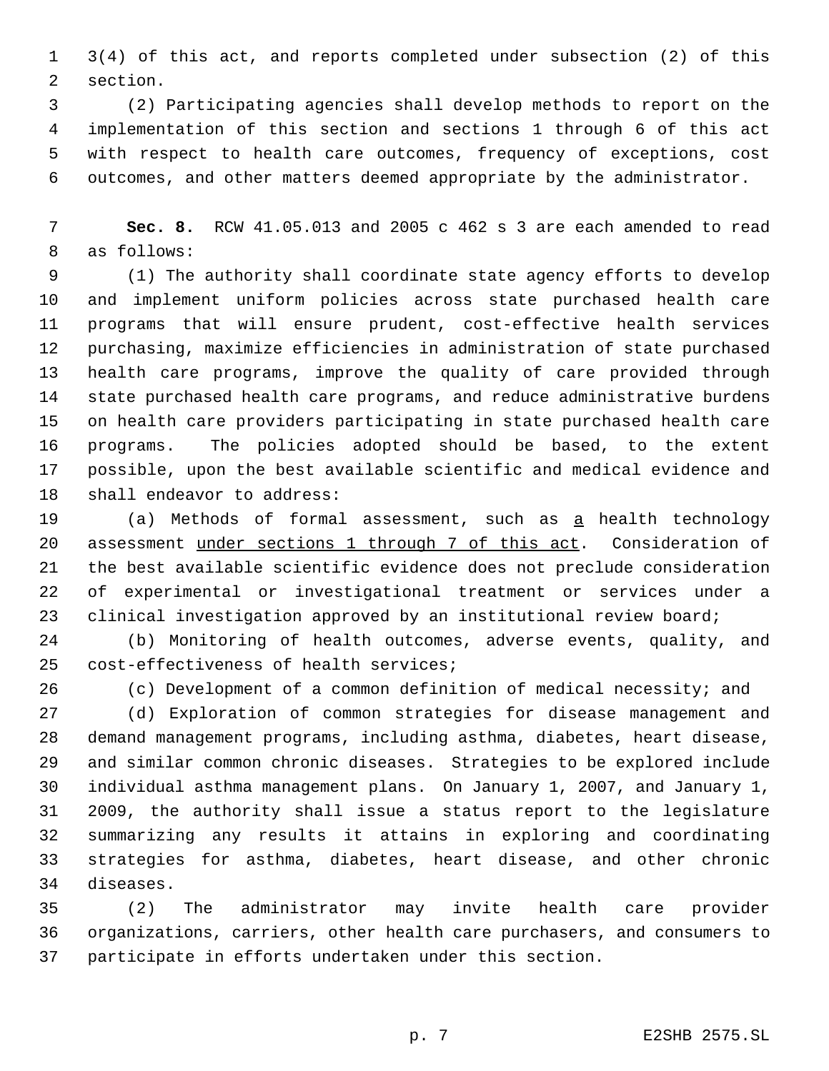3(4) of this act, and reports completed under subsection (2) of this section.

 (2) Participating agencies shall develop methods to report on the implementation of this section and sections 1 through 6 of this act with respect to health care outcomes, frequency of exceptions, cost outcomes, and other matters deemed appropriate by the administrator.

 **Sec. 8.** RCW 41.05.013 and 2005 c 462 s 3 are each amended to read as follows:

 (1) The authority shall coordinate state agency efforts to develop and implement uniform policies across state purchased health care programs that will ensure prudent, cost-effective health services purchasing, maximize efficiencies in administration of state purchased health care programs, improve the quality of care provided through state purchased health care programs, and reduce administrative burdens on health care providers participating in state purchased health care programs. The policies adopted should be based, to the extent possible, upon the best available scientific and medical evidence and shall endeavor to address:

 (a) Methods of formal assessment, such as a health technology assessment under sections 1 through 7 of this act. Consideration of the best available scientific evidence does not preclude consideration of experimental or investigational treatment or services under a clinical investigation approved by an institutional review board;

 (b) Monitoring of health outcomes, adverse events, quality, and cost-effectiveness of health services;

(c) Development of a common definition of medical necessity; and

 (d) Exploration of common strategies for disease management and demand management programs, including asthma, diabetes, heart disease, and similar common chronic diseases. Strategies to be explored include individual asthma management plans. On January 1, 2007, and January 1, 2009, the authority shall issue a status report to the legislature summarizing any results it attains in exploring and coordinating strategies for asthma, diabetes, heart disease, and other chronic diseases.

 (2) The administrator may invite health care provider organizations, carriers, other health care purchasers, and consumers to participate in efforts undertaken under this section.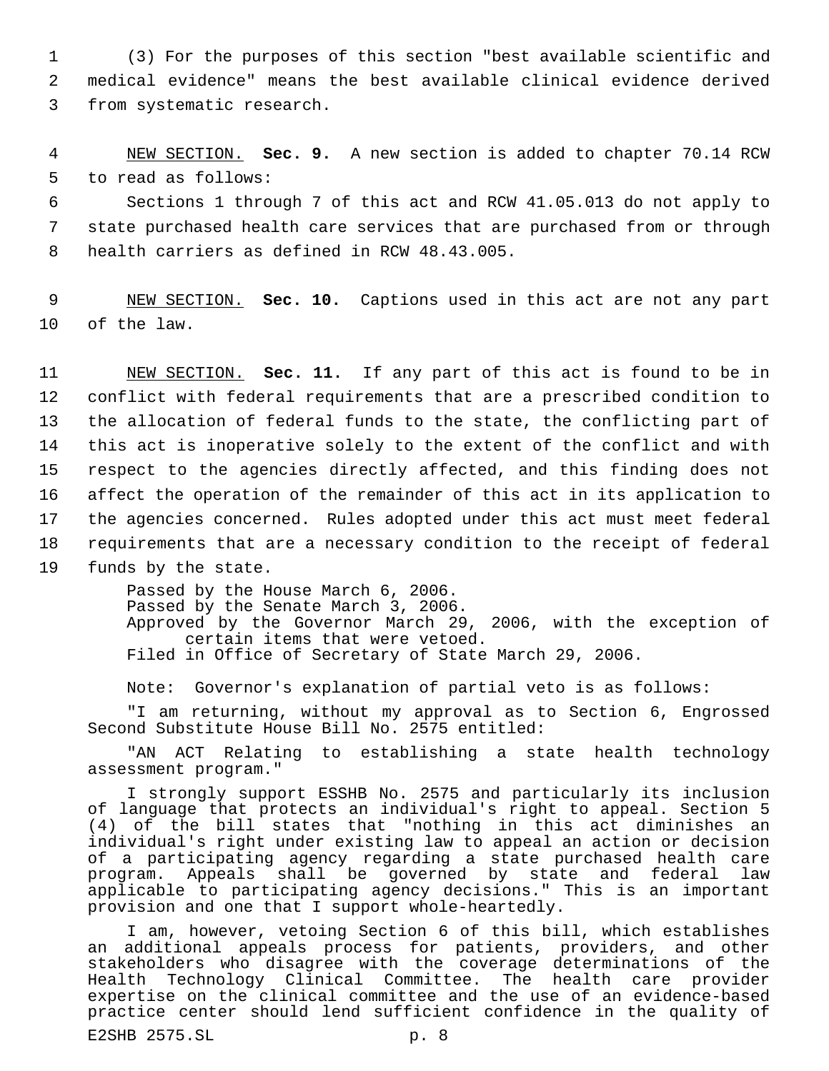1 (3) For the purposes of this section "best available scientific and 2 medical evidence" means the best available clinical evidence derived 3 from systematic research.

 4 NEW SECTION. **Sec. 9.** A new section is added to chapter 70.14 RCW 5 to read as follows:

 6 Sections 1 through 7 of this act and RCW 41.05.013 do not apply to 7 state purchased health care services that are purchased from or through 8 health carriers as defined in RCW 48.43.005.

 9 NEW SECTION. **Sec. 10.** Captions used in this act are not any part 10 of the law.

 NEW SECTION. **Sec. 11.** If any part of this act is found to be in conflict with federal requirements that are a prescribed condition to the allocation of federal funds to the state, the conflicting part of this act is inoperative solely to the extent of the conflict and with respect to the agencies directly affected, and this finding does not affect the operation of the remainder of this act in its application to the agencies concerned. Rules adopted under this act must meet federal requirements that are a necessary condition to the receipt of federal funds by the state.

> Passed by the House March 6, 2006. Passed by the Senate March 3, 2006. Approved by the Governor March 29, 2006, with the exception of certain items that were vetoed. Filed in Office of Secretary of State March 29, 2006.

Note: Governor's explanation of partial veto is as follows:

"I am returning, without my approval as to Section 6, Engrossed Second Substitute House Bill No. 2575 entitled:

"AN ACT Relating to establishing a state health technology assessment program."

I strongly support ESSHB No. 2575 and particularly its inclusion of language that protects an individual's right to appeal. Section 5 (4) of the bill states that "nothing in this act diminishes an individual's right under existing law to appeal an action or decision of a participating agency regarding a state purchased health care program. Appeals shall be governed by state and federal law applicable to participating agency decisions." This is an important provision and one that I support whole-heartedly.

I am, however, vetoing Section 6 of this bill, which establishes an additional appeals process for patients, providers, and other stakeholders who disagree with the coverage determinations of the Health Technology Clinical Committee. The health care provider expertise on the clinical committee and the use of an evidence-based practice center should lend sufficient confidence in the quality of

E2SHB 2575.SL p. 8